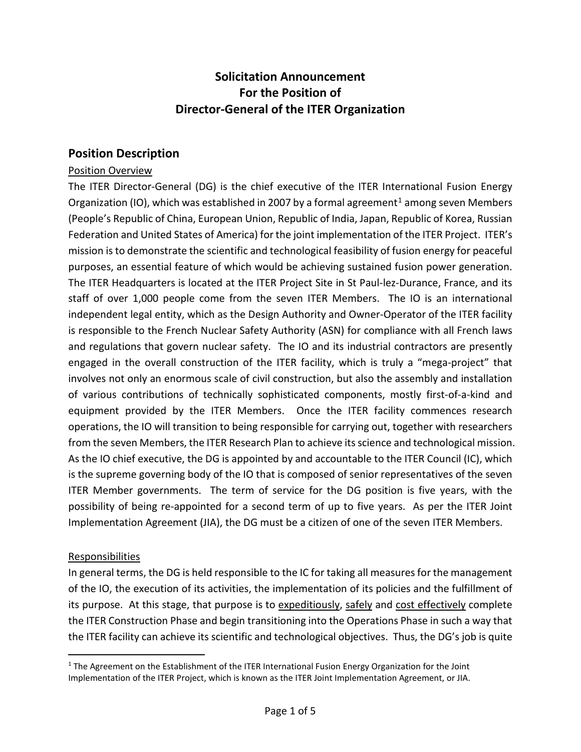# **Solicitation Announcement For the Position of Director-General of the ITER Organization**

### **Position Description**

#### Position Overview

The ITER Director-General (DG) is the chief executive of the ITER International Fusion Energy Organization (IO), which was established in 2007 by a formal agreement<sup>[1](#page-0-0)</sup> among seven Members (People's Republic of China, European Union, Republic of India, Japan, Republic of Korea, Russian Federation and United States of America) for the joint implementation of the ITER Project. ITER's mission is to demonstrate the scientific and technological feasibility of fusion energy for peaceful purposes, an essential feature of which would be achieving sustained fusion power generation. The ITER Headquarters is located at the ITER Project Site in St Paul-lez-Durance, France, and its staff of over 1,000 people come from the seven ITER Members. The IO is an international independent legal entity, which as the Design Authority and Owner-Operator of the ITER facility is responsible to the French Nuclear Safety Authority (ASN) for compliance with all French laws and regulations that govern nuclear safety. The IO and its industrial contractors are presently engaged in the overall construction of the ITER facility, which is truly a "mega-project" that involves not only an enormous scale of civil construction, but also the assembly and installation of various contributions of technically sophisticated components, mostly first-of-a-kind and equipment provided by the ITER Members. Once the ITER facility commences research operations, the IO will transition to being responsible for carrying out, together with researchers from the seven Members, the ITER Research Plan to achieve its science and technological mission. As the IO chief executive, the DG is appointed by and accountable to the ITER Council (IC), which is the supreme governing body of the IO that is composed of senior representatives of the seven ITER Member governments. The term of service for the DG position is five years, with the possibility of being re-appointed for a second term of up to five years. As per the ITER Joint Implementation Agreement (JIA), the DG must be a citizen of one of the seven ITER Members.

#### Responsibilities

In general terms, the DG is held responsible to the IC for taking all measures for the management of the IO, the execution of its activities, the implementation of its policies and the fulfillment of its purpose. At this stage, that purpose is to expeditiously, safely and cost effectively complete the ITER Construction Phase and begin transitioning into the Operations Phase in such a way that the ITER facility can achieve its scientific and technological objectives. Thus, the DG's job is quite

<span id="page-0-0"></span><sup>&</sup>lt;sup>1</sup> The Agreement on the Establishment of the ITER International Fusion Energy Organization for the Joint Implementation of the ITER Project, which is known as the ITER Joint Implementation Agreement, or JIA.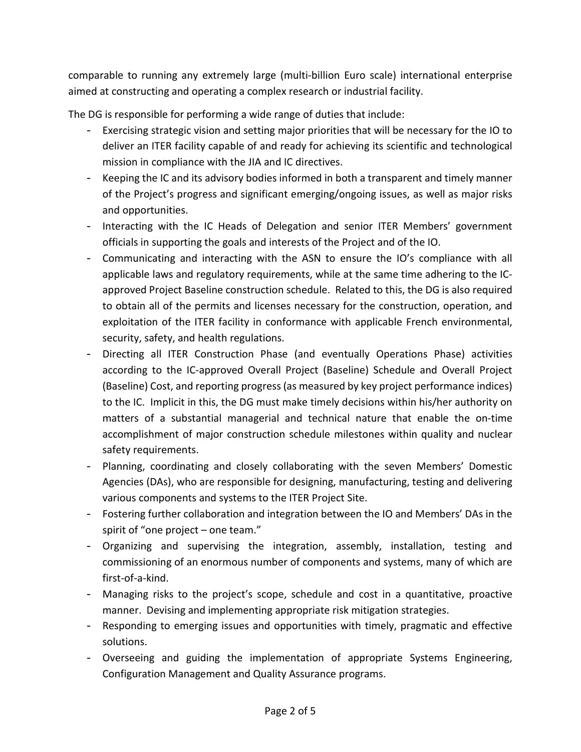comparable to running any extremely large (multi-billion Euro scale) international enterprise aimed at constructing and operating a complex research or industrial facility.

The DG is responsible for performing a wide range of duties that include:

- Exercising strategic vision and setting major priorities that will be necessary for the IO to deliver an ITER facility capable of and ready for achieving its scientific and technological mission in compliance with the JIA and IC directives.
- Keeping the IC and its advisory bodies informed in both a transparent and timely manner of the Project's progress and significant emerging/ongoing issues, as well as major risks and opportunities.
- Interacting with the IC Heads of Delegation and senior ITER Members' government officials in supporting the goals and interests of the Project and of the IO.
- Communicating and interacting with the ASN to ensure the IO's compliance with all applicable laws and regulatory requirements, while at the same time adhering to the ICapproved Project Baseline construction schedule. Related to this, the DG is also required to obtain all of the permits and licenses necessary for the construction, operation, and exploitation of the ITER facility in conformance with applicable French environmental, security, safety, and health regulations.
- Directing all ITER Construction Phase (and eventually Operations Phase) activities according to the IC-approved Overall Project (Baseline) Schedule and Overall Project (Baseline) Cost, and reporting progress (as measured by key project performance indices) to the IC. Implicit in this, the DG must make timely decisions within his/her authority on matters of a substantial managerial and technical nature that enable the on-time accomplishment of major construction schedule milestones within quality and nuclear safety requirements.
- Planning, coordinating and closely collaborating with the seven Members' Domestic Agencies (DAs), who are responsible for designing, manufacturing, testing and delivering various components and systems to the ITER Project Site.
- Fostering further collaboration and integration between the IO and Members' DAs in the spirit of "one project – one team."
- Organizing and supervising the integration, assembly, installation, testing and commissioning of an enormous number of components and systems, many of which are first-of-a-kind.
- Managing risks to the project's scope, schedule and cost in a quantitative, proactive manner. Devising and implementing appropriate risk mitigation strategies.
- Responding to emerging issues and opportunities with timely, pragmatic and effective solutions.
- Overseeing and guiding the implementation of appropriate Systems Engineering, Configuration Management and Quality Assurance programs.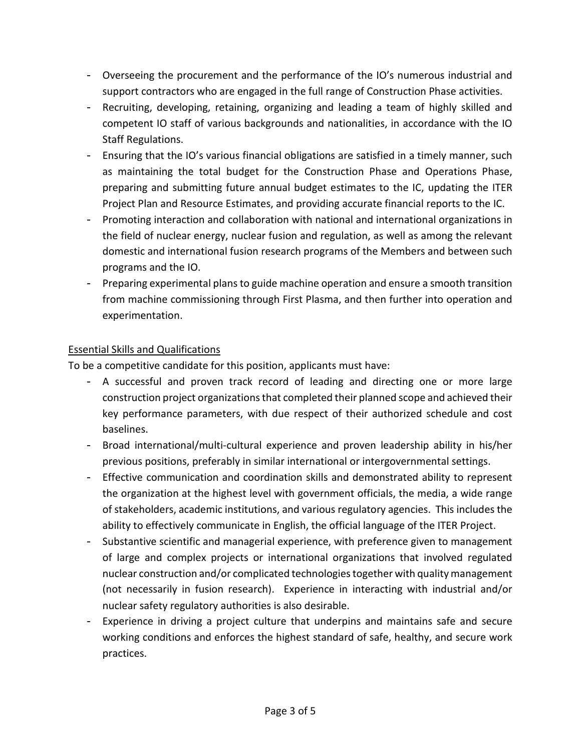- Overseeing the procurement and the performance of the IO's numerous industrial and support contractors who are engaged in the full range of Construction Phase activities.
- Recruiting, developing, retaining, organizing and leading a team of highly skilled and competent IO staff of various backgrounds and nationalities, in accordance with the IO Staff Regulations.
- Ensuring that the IO's various financial obligations are satisfied in a timely manner, such as maintaining the total budget for the Construction Phase and Operations Phase, preparing and submitting future annual budget estimates to the IC, updating the ITER Project Plan and Resource Estimates, and providing accurate financial reports to the IC.
- Promoting interaction and collaboration with national and international organizations in the field of nuclear energy, nuclear fusion and regulation, as well as among the relevant domestic and international fusion research programs of the Members and between such programs and the IO.
- Preparing experimental plans to guide machine operation and ensure a smooth transition from machine commissioning through First Plasma, and then further into operation and experimentation.

## Essential Skills and Qualifications

To be a competitive candidate for this position, applicants must have:

- A successful and proven track record of leading and directing one or more large construction project organizations that completed their planned scope and achieved their key performance parameters, with due respect of their authorized schedule and cost baselines.
- Broad international/multi-cultural experience and proven leadership ability in his/her previous positions, preferably in similar international or intergovernmental settings.
- Effective communication and coordination skills and demonstrated ability to represent the organization at the highest level with government officials, the media, a wide range of stakeholders, academic institutions, and various regulatory agencies. This includes the ability to effectively communicate in English, the official language of the ITER Project.
- Substantive scientific and managerial experience, with preference given to management of large and complex projects or international organizations that involved regulated nuclear construction and/or complicated technologies together with quality management (not necessarily in fusion research). Experience in interacting with industrial and/or nuclear safety regulatory authorities is also desirable.
- Experience in driving a project culture that underpins and maintains safe and secure working conditions and enforces the highest standard of safe, healthy, and secure work practices.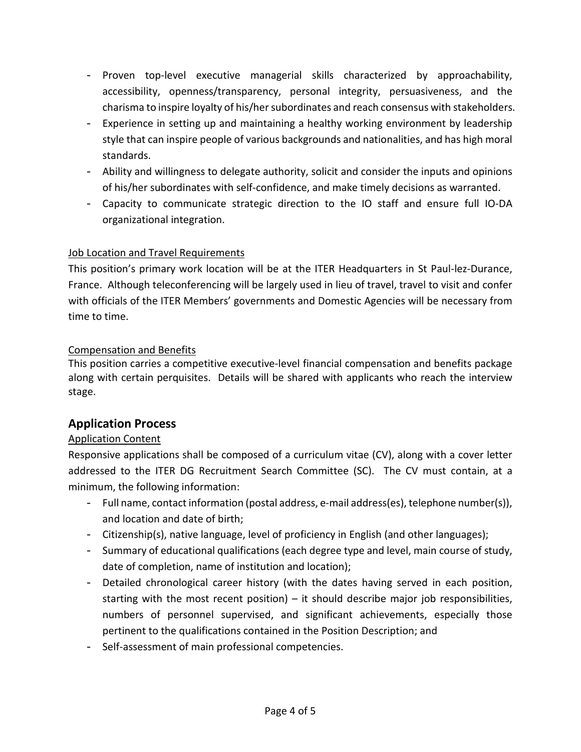- Proven top-level executive managerial skills characterized by approachability, accessibility, openness/transparency, personal integrity, persuasiveness, and the charisma to inspire loyalty of his/her subordinates and reach consensus with stakeholders.
- Experience in setting up and maintaining a healthy working environment by leadership style that can inspire people of various backgrounds and nationalities, and has high moral standards.
- Ability and willingness to delegate authority, solicit and consider the inputs and opinions of his/her subordinates with self-confidence, and make timely decisions as warranted.
- Capacity to communicate strategic direction to the IO staff and ensure full IO-DA organizational integration.

## Job Location and Travel Requirements

This position's primary work location will be at the ITER Headquarters in St Paul-lez-Durance, France. Although teleconferencing will be largely used in lieu of travel, travel to visit and confer with officials of the ITER Members' governments and Domestic Agencies will be necessary from time to time.

#### Compensation and Benefits

This position carries a competitive executive-level financial compensation and benefits package along with certain perquisites. Details will be shared with applicants who reach the interview stage.

# **Application Process**

# Application Content

Responsive applications shall be composed of a curriculum vitae (CV), along with a cover letter addressed to the ITER DG Recruitment Search Committee (SC). The CV must contain, at a minimum, the following information:

- Full name, contact information (postal address, e-mail address(es), telephone number(s)), and location and date of birth;
- Citizenship(s), native language, level of proficiency in English (and other languages);
- Summary of educational qualifications (each degree type and level, main course of study, date of completion, name of institution and location);
- Detailed chronological career history (with the dates having served in each position, starting with the most recent position) – it should describe major job responsibilities, numbers of personnel supervised, and significant achievements, especially those pertinent to the qualifications contained in the Position Description; and
- Self-assessment of main professional competencies.